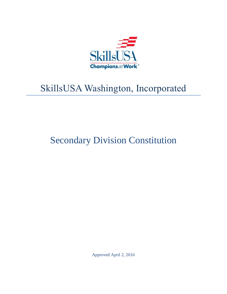

# SkillsUSA Washington, Incorporated

# Secondary Division Constitution

Approved April 2, 2016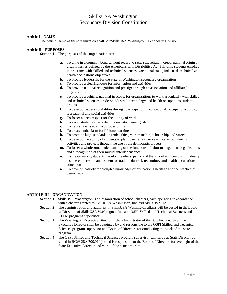#### **Article I—NAME**

The official name of this organization shall be "SkillsUSA Washington" Secondary Division

#### **Article II—PURPOSES**

**Section 1** – The purposes of this organization are:

- **a.** To unite in a common bond without regard to race, sex, religion, creed, national origin or disabilities, as defined by the Americans with Disabilities Act, full-time students enrolled in programs with skilled and technical sciences, vocational trade, industrial, technical and health occupations objectives
- **b.** To provide leadership for the state of Washington secondary organization
- **c.** To provide a clearinghouse for information and activities
- **d.** To provide national recognition and prestige through an association and affiliated organizations
- **e.** To provide a vehicle, national in scope, for organizations to work articulately with skilled and technical sciences, trade  $\&$  industrial, technology and health occupations student groups
- **f.** To develop leadership abilities through participation in educational, occupational, civic, recreational and social activities
- **g.** To foster a deep respect for the dignity of work
- **h.** To assist students in establishing realistic career goals
- **i.** To help students attain a purposeful life
- **j.** To create enthusiasm for lifelong learning<br>**k.** To promote high standards in trade ethics,
- **k.** To promote high standards in trade ethics, workmanship, scholarship and safety
- **l.** To develop the ability of students to plan together, organize and carry out worthy activities and projects through the use of the democratic process
- **m.** To foster a wholesome understanding of the functions of labor management organizations and a recognition of their mutual interdependence
- **n.** To create among students, faculty members, patrons of the school and persons in industry a sincere interest in and esteem for trade, industrial, technology and health occupations education
- **o.** To develop patriotism through a knowledge of our nation's heritage and the practice of democracy

#### **ARTICLE III—ORGANIZATION**

- **Section 1** SkillsUSA Washington is an organization of school chapters, each operating in accordance with a charter granted to SkillsUSA Washington, Inc. and SkillsUSA Inc.
- **Section 2** The administration and authority in SkillsUSA Washington affairs will be vested in the Board of Directors of SkillsUSA Washington, Inc. and OSPI Skilled and Technical Sciences and STEM programs supervisor.
- **Section 3** The Washington Executive Director is the administrator of the state headquarters. The Executive Director shall be appointed by and responsible to the OSPI Skilled and Technical Sciences program supervisor and Board of Directors for conducting the work of the state program.
- **Section 4** The OSPI Skilled and Technical Sciences program supervisor will serve as State Director as stated in RCW 28A.700.010(4) and is responsible to the Board of Directors for oversight of the State Executive Director and work of the state program.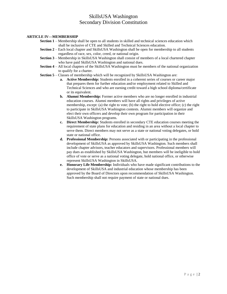### **ARTICLE IV—MEMBERSHIP**

- **Section 1** Membership shall be open to all students in skilled and technical sciences education which shall be inclusive of CTE and Skilled and Technical Sciences education.
- **Section 2** Each local chapter and SkillsUSA Washington shall be open for membership to all students regardless of race, sex, color, creed, or national origin.
- **Section 3** Membership in SkillsUSA Washington shall consist of members of a local chartered chapter who have paid SkillsUSA Washington and national dues.
- **Section 4** All local chapters of the SkillsUSA Washington must be members of the national organization to qualify for a charter.
- **Section 5** Classes of membership which will be recognized by SkillsUSA Washington are:
	- **a. Active Membership:** Students enrolled in a coherent series of courses or career major that prepares them for further education and/or employment related to Skilled and Technical Sciences and who are earning credit toward a high school diploma/certificate or its equivalent.
	- **b. Alumni Membership:** Former active members who are no longer enrolled in industrial education courses. Alumni members will have all rights and privileges of active membership, except: (a) the right to vote; (b) the right to hold elective office; (c) the right to participate in SkillsUSA Washington contests. Alumni members will organize and elect their own officers and develop their own program for participation in their SkillsUSA Washington programs.
	- **c. Direct Membership:** Students enrolled in secondary CTE education courses meeting the requirement of state plans for education and residing in an area without a local chapter to serve them. Direct members may not serve as a state or national voting delegates, or hold state or national office.
	- **d. Professional Membership:** Persons associated with or participating in the professional development of SkillsUSA as approved by SkillsUSA Washington. Such members shall include chapter advisors, teacher educators and supervisors. Professional members will pay dues as established by SkillsUSA Washington, but members will be ineligible to hold office of vote or serve as a national voting delegate, hold national office, or otherwise represent SkillsUSA Washington in SkillsUSA.
	- **e. Honorary Life Membership:** Individuals who have made significant contributions to the development of SkillsUSA and industrial education whose membership has been approved by the Board of Directors upon recommendation of SkillsUSA Washington. Such membership shall not require payment of state or national dues.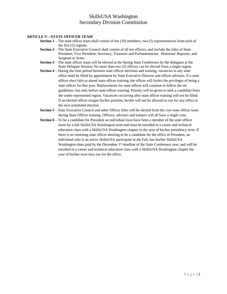## **ARTICLE V—STATE OFFICER TEAM**

- **Section 1** The state officer team shall consist of ten (10) members, two (2) representatives from each of the five (5) regions.
- **Section 2** The State Executive Council shall consist of all ten officers, and include the titles of State President, Vice President, Secretary, Treasurer and Parliamentarian. Historian/ Reporter, and Sergeant at Arms.
- **Section 3** The state officer team will be elected at the Spring State Conference by the delegates at the State Delegate Session. No more than two (2) officers can be elected from a single region.
- **Section 4** During the time period between state officer elections and training, vacancies in any state office shall be filled by appointment by State Executive Director and officer advisors. If a state officer-elect fails to attend state officer training, the officer will forfeit the privileges of being a state officer for that year. Replacements for state offices will continue to follow the set guidelines, but only before state officer training. Priority will be given to seek a candidate from the under-represented region. Vacancies occurring after state officer training will not be filled. If an elected officer resigns his/her position, he/she will not be allowed to run for any office at the next scheduled election.
- **Section 5** State Executive Council and other Officer titles will be elected from the core state officer team during State Officer training. Officers, advisors and trainers will all have a single vote.
- **Section 6** To be a candidate for President an individual must have been a member of the state officer team for a full SkillsUSA Washington term and must be enrolled in a career and technical education class with a SkillsUSA Washington chapter in the year of his/her presidency term. If there is no returning state officer desiring to be a candidate for the office of President, an individual who is an active SkillsUSA participant in the Fall, has his/her SkillsUSA Washington dues paid by the December 1<sup>st</sup> deadline of the State Conference year, and will be enrolled in a career and technical education class with a SkillsUSA Washington chapter the year of his/her term may run for the office.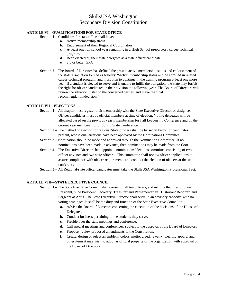## **ARTICLE VI—QUALIFICATIONS FOR STATE OFFICE**

## **Section 1 –** Candidates for state office shall have:

- **a.** Active membership status
- **b.** Endorsement of their Regional Coordinators
- **c.** At least one full school year remaining in a High School preparatory career-technical program.
- **d.** Been elected by their state delegates as a state officer candidate
- **e.** 2.5 or better GPA
- **Section 2 –** The Board of Directors has defined the present active membership status and endorsement of the state association to read as follows: "Active membership status and be enrolled in related career-technical program, and must plan to continue in the training program at least one more year. If a student is elected to serve and is unable to fulfill the obligation, the state may forfeit the right for officer candidates in their division the following year. The Board of Directors will review the situation, listen to the concerned parties, and make the final recommendation/decision."

#### **ARTICLE VII—ELECTIONS**

- **Section 1 –** All chapter must register their membership with the State Executive Director or designee. Officer candidates must be official members at time of election. Voting delegates will be allocated based on the previous year's membership for Fall Leadership Conference and on the current year membership for Spring State Conference.
- **Section 2** The method of election for regional/state officers shall be by secret ballot, of candidates present, whose qualifications have been approved by the Nominations Committee.
- **Section 3 –** Nomination should be made and approved through the Nomination Committee. If no nominations have been made in advance, then nominations may be made from the floor.
- **Section 4** The Executive Director shall appoint a nominations/elections committee consisting of two officer advisors and two state officers. This committee shall review officer applications to assure compliance with officer requirements and conduct the election of officers at the state conference.
- **Section 5 –** All Regional/state officer candidates must take the SkillsUSA Washington Professional Test.

#### **ARTICLE VIII—STATE EXECUTIVE COUNCIL**

- **Section 1 –** The State Executive Council shall consist of all ten officers, and include the titles of State President, Vice President, Secretary, Treasurer and Parliamentarian. Historian/ Reporter, and Sergeant at Arms. The State Executive Director shall serve in an advisory capacity, with no voting privileges. It shall be the duty and function of the State Executive Council to:
	- **a.** Advise the Board of Directors concerning the execution of the decisions of the House of Delegates.
	- **b.** Conduct business pertaining to the students they serve.
	- **c.** Preside over the state meetings and conference.
	- **d.** Call special meetings and conferences, subject to the approval of the Board of Directors
	- **e.** Propose, review proposed amendments to the Constitution.
	- **f.** Create, design or select an emblem, colors, motto, creed, jewelry, wearing apparel and other items it may wish to adopt as official property of the organization with approval of the Board of Directors.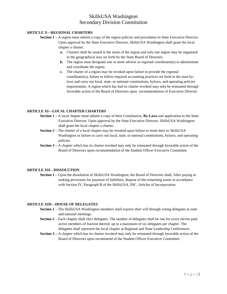### **ARTICLE X—REGIONAL CHARTERS**

- **Section 1** A region must submit a copy of the region policies and procedures to State Executive Director. Upon approval by the State Executive Director, SkillsUSA Washington shall grant the local chapter a charter.
	- **a.** Charters shall be issued in the name of the region and only one region may be organized in the geographical area set forth by the State Board of Directors.
	- **b.** The region must designate one or more advisor as regional coordinator(s) to administrate and coordinate the region.
	- **c.** The charter of a region may be revoked upon failure to provide the regional coordinator(s), failure to follow required accounting practices set forth in the state bylaws and carry out local, state, or national constitutions, bylaws, and operating policies requirements. A region which has had its charter revoked may only be reinstated through favorable action of the Board of Directors upon recommendation of Executive Director.

#### **ARTICLE XI—LOCAL CHAPTER CHARTERS**

- **Section 1 –** A local chapter must submit a copy of their Constitution, **By-Laws** and application to the State Executive Director. Upon approval by the State Executive Director, SkillsUSA Washington shall grant the local chapter a charter.
- **Section 2 –** The charter of a local chapter may be revoked upon failure to remit dues to SkillsUSA Washington or failure to carry out local, state, or national constitutions, bylaws, and operating policies.
- **Section 3** A chapter which has its charter revoked may only be reinstated through favorable action of the Board of Directors upon recommendation of the Student Officer Executive Committee.

### **ARTICLE XII—DISSOLUTION**

**Section 1 –** Upon the dissolution of SkillsUSA Washington, the Board of Directors shall, After paying or making provisions for payment of liabilities, dispose of the remaining assets in accordance with Section IV, Paragraph B of the SkillsUSA, INC. Articles of Incorporation.

## **ARTICLE XIII—HOUSE OF DELEGATES**

- **Section 1 –** The SkillsUSA Washington members shall express their will through voting delegates at state and national meetings.
- **Section 2** Each chapter shall elect delegates. The number of delegates shall be one for every eleven paid active members of fraction thereof, up to a maximum of six delegates per chapter. The delegates shall represent the local chapter at Regional and State Leadership Conferences.
- **Section 3** A chapter which has its charter revoked may only be reinstated through favorable action of the Board of Directors upon recommend of the Student Officer Executive Committee.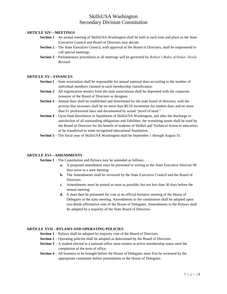#### **ARTICLE XIV—MEETINGS**

- **Section 1** An annual meeting of SkillsUSA Washington shall be held at such time and place as the State Executive Council and Board of Directors may decide.
- **Section 2** The State Executive Council, with approval of the Board of Directors, shall be empowered to call special meetings.
- **Section 3** Parliamentary procedures at all meetings will be governed by *Robert's Rules of Order, Newly Revised*

#### **ARTICLE XV—FINANCES**

- **Section 1** State association shall be responsible for annual national dues according to the number of individual members claimed in each membership classification.
- **Section 2** All organization monies from the state associations shall be deposited with the corporate treasurer of the Board of Directors or designee.
- **Section 3** Annual dues shall be established and determined by the state board of directors, with the proviso that increases shall be no more than \$0.50 increments for student dues and no more than \$1 professional dues and documented by actual "proof of need."
- **Section 4** Upon final dissolution or liquidation of SkillsUSA Washington, and after the discharge or satisfaction of all outstanding obligations and liabilities, the remaining assets shall be used by the Board of Directors for the benefit of students of Skilled and Technical Sciences education, or be transferred to some recognized educational foundation.
- **Section 5** The fiscal year of SkillsUSA Washington shall be September 1 through August 31.

#### **ARTICLE XVI—AMENDMENTS**

**Section 1** – The Constitution and Bylaws may be amended as follows:

- **a.** A proposed amendment must be presented in writing to the State Executive Director 90 days prior to a state meeting
- **b.** The Amendments shall be reviewed by the State Executive Council and the Board of Directors.
- **c.** Amendments must be posted as soon as possible, but not less than 30 days before the annual meeting.
- **d.** It must then be presented for vote at an official business meeting of the House of Delegates at the state meeting. Amendments to the constitution shall be adopted upon two-thirds affirmative vote of the House of Delegates. Amendments to the Bylaws shall be adopted by a majority of the State Board of Directors.

## **ARTICLE XVII—BYLAWS AND OPERATING POLICIES**

- **Section 1** Bylaws shall be adopted by majority vote of the Board of Directors.
- **Section 2** Operating policies shall be adopted as determined by the Board of Directors.
- **Section 3** A student elected to a national office must remain in active membership status until the completion of the term of office.
- **Section 4** All business to be brought before the House of Delegates must first be reviewed by the appropriate committee before presentation to the House of Delegates.